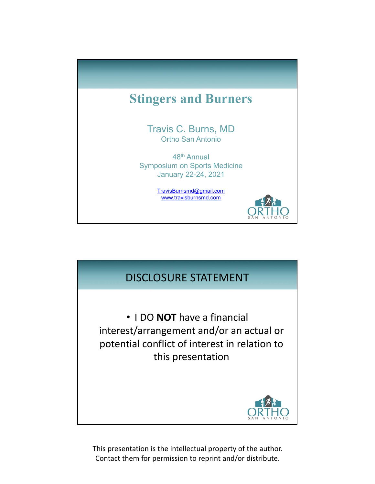

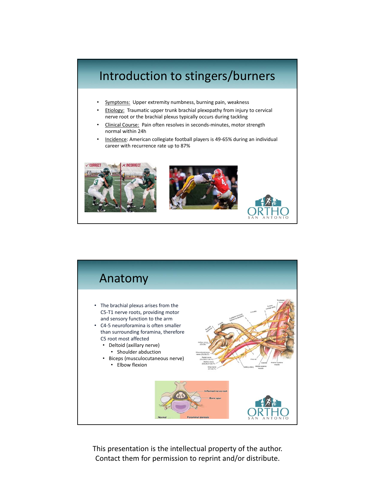## Introduction to stingers/burners Symptoms: Upper extremity numbness, burning pain, weakness **Etiology:** Traumatic upper trunk brachial plexopathy from injury to cervical nerve root or the brachial plexus typically occurs during tackling • Clinical Course: Pain often resolves in seconds‐minutes, motor strength normal within 24h • Incidence: American collegiate football players is 49‐65% during an individual career with recurrence rate up to 87%

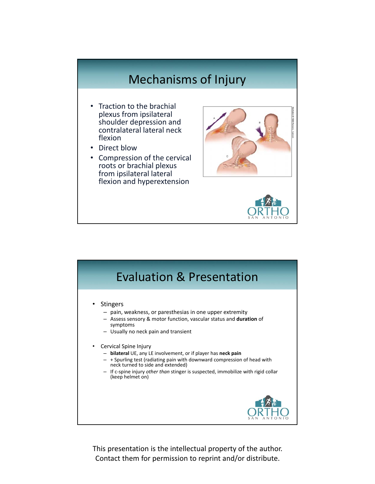## Mechanisms of Injury

- Traction to the brachial plexus from ipsilateral shoulder depression and contralateral lateral neck flexion
- Direct blow
- Compression of the cervical roots or brachial plexus from ipsilateral lateral flexion and hyperextension





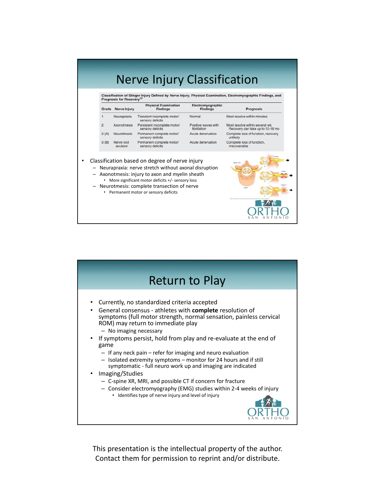| Grade          | Prognosis for Recovery <sup>22</sup><br><b>Nerve Injury</b> | <b>Physical Examination</b><br><b>Findings</b>                                                                                                                                                                                                                                                     | Electromyographic<br><b>Findings</b> | <b>Prognosis</b>                                                    |
|----------------|-------------------------------------------------------------|----------------------------------------------------------------------------------------------------------------------------------------------------------------------------------------------------------------------------------------------------------------------------------------------------|--------------------------------------|---------------------------------------------------------------------|
| 1              | Neurapraxia                                                 | Transient incomplete motor/<br>sensory deficits                                                                                                                                                                                                                                                    | Normal                               | Most resolve within minutes                                         |
| $\overline{2}$ | Axonotmesis                                                 | Persistent incomplete motor/<br>sensory deficits                                                                                                                                                                                                                                                   | Positive waves with<br>fibrillation  | Most resolve within several wk.<br>Recovery can take up to 12-18 mo |
| 3(A)           | <b>Neurotmesis</b>                                          | Permanent complete motor/<br>sensory deficits                                                                                                                                                                                                                                                      | Acute denervation                    | Complete loss of function, recovery<br>unlikely                     |
| 3(B)           | Nerve root<br>avulsion                                      | Permanent complete motor/<br>sensory deficits                                                                                                                                                                                                                                                      | Acute denervation                    | Complete loss of function.<br>irrecoverable                         |
|                |                                                             | Classification based on degree of nerve injury<br>Neurapraxia: nerve stretch without axonal disruption<br>Axonotmesis: injury to axon and myelin sheath<br>More significant motor deficits +/- sensory loss<br>Neurotmesis: complete transection of nerve<br>• Permanent motor or sensory deficits |                                      | <b>Strategie</b>                                                    |

| <b>Return to Play</b>                                                                                                                                                                                                                                                                                                                                                                                                                                                                                                                                                                                                                                                                                                                                                                      |
|--------------------------------------------------------------------------------------------------------------------------------------------------------------------------------------------------------------------------------------------------------------------------------------------------------------------------------------------------------------------------------------------------------------------------------------------------------------------------------------------------------------------------------------------------------------------------------------------------------------------------------------------------------------------------------------------------------------------------------------------------------------------------------------------|
| Currently, no standardized criteria accepted<br>$\bullet$<br>General consensus - athletes with complete resolution of<br>$\bullet$<br>symptoms (full motor strength, normal sensation, painless cervical<br>ROM) may return to immediate play<br>- No imaging necessary<br>If symptoms persist, hold from play and re-evaluate at the end of<br>٠<br>game<br>- If any neck pain - refer for imaging and neuro evaluation<br>- Isolated extremity symptoms - monitor for 24 hours and if still<br>symptomatic - full neuro work up and imaging are indicated<br>Imaging/Studies<br>$\bullet$<br>- C-spine XR, MRI, and possible CT if concern for fracture<br>- Consider electromyography (EMG) studies within 2-4 weeks of injury<br>• Identifies type of nerve injury and level of injury |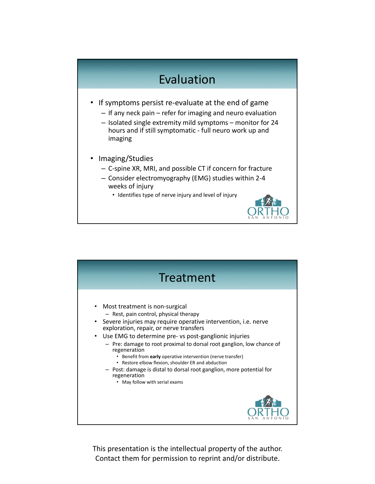## Evaluation

- If symptoms persist re-evaluate at the end of game
	- If any neck pain refer for imaging and neuro evaluation
	- Isolated single extremity mild symptoms monitor for 24 hours and if still symptomatic ‐ full neuro work up and imaging
- Imaging/Studies
	- C‐spine XR, MRI, and possible CT if concern for fracture
	- Consider electromyography (EMG) studies within 2‐4 weeks of injury
		- Identifies type of nerve injury and level of injury

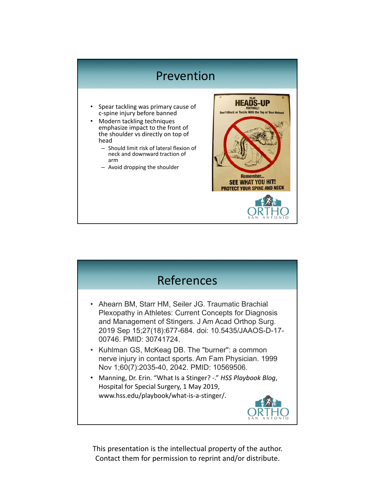## Prevention

- Spear tackling was primary cause of c‐spine injury before banned
- Modern tackling techniques emphasize impact to the front of the shoulder vs directly on top of head
	- Should limit risk of lateral flexion of neck and downward traction of arm
	- Avoid dropping the shoulder